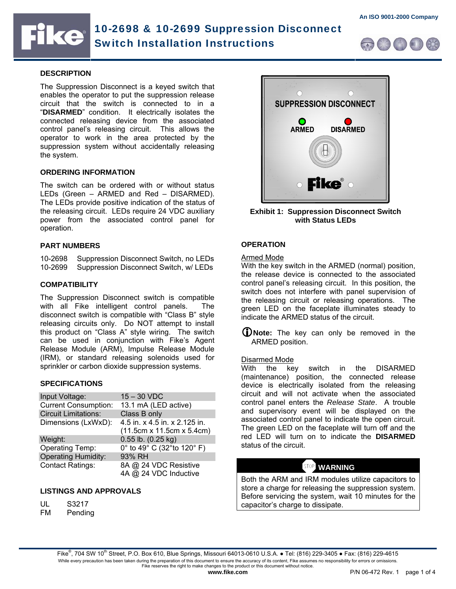# ke

## 10-2698 & 10-2699 Suppression Disconnect Switch Installation Instructions



## **DESCRIPTION**

The Suppression Disconnect is a keyed switch that enables the operator to put the suppression release circuit that the switch is connected to in a "**DISARMED**" condition. It electrically isolates the connected releasing device from the associated control panel's releasing circuit. This allows the operator to work in the area protected by the suppression system without accidentally releasing the system.

## **ORDERING INFORMATION**

The switch can be ordered with or without status LEDs (Green – ARMED and Red – DISARMED). The LEDs provide positive indication of the status of the releasing circuit. LEDs require 24 VDC auxiliary power from the associated control panel for operation.

## **PART NUMBERS**

10-2698 Suppression Disconnect Switch, no LEDs 10-2699 Suppression Disconnect Switch, w/ LEDs

## **COMPATIBILITY**

The Suppression Disconnect switch is compatible with all Fike intelligent control panels. The disconnect switch is compatible with "Class B" style releasing circuits only. Do NOT attempt to install this product on "Class A" style wiring. The switch can be used in conjunction with Fike's Agent Release Module (ARM), Impulse Release Module (IRM), or standard releasing solenoids used for sprinkler or carbon dioxide suppression systems.

## **SPECIFICATIONS**

| Input Voltage:              | $15 - 30$ VDC                                              |
|-----------------------------|------------------------------------------------------------|
| <b>Current Consumption:</b> | 13.1 mA (LED active)                                       |
| <b>Circuit Limitations:</b> | Class B only                                               |
| Dimensions (LxWxD):         | 4.5 in. x 4.5 in. x 2.125 in.<br>(11.5cm x 11.5cm x 5.4cm) |
| Weight:                     | $0.55$ lb. $(0.25$ kg)                                     |
| Operating Temp:             | 0° to 49° C (32° to 120° F)                                |
| <b>Operating Humidity:</b>  | 93% RH                                                     |
| <b>Contact Ratings:</b>     | 8A @ 24 VDC Resistive<br>4A @ 24 VDC Inductive             |

## **LISTINGS AND APPROVALS**

- UL S3217
- FM Pending



**Exhibit 1: Suppression Disconnect Switch with Status LEDs** 

## **OPERATION**

## Armed Mode

With the key switch in the ARMED (normal) position, the release device is connected to the associated control panel's releasing circuit. In this position, the switch does not interfere with panel supervision of the releasing circuit or releasing operations. The green LED on the faceplate illuminates steady to indicate the ARMED status of the circuit.

L**Note:** The key can only be removed in the ARMED position.

## Disarmed Mode

With the key switch in the DISARMED (maintenance) position, the connected release device is electrically isolated from the releasing circuit and will not activate when the associated control panel enters the *Release State*. A trouble and supervisory event will be displayed on the associated control panel to indicate the open circuit. The green LED on the faceplate will turn off and the red LED will turn on to indicate the **DISARMED** status of the circuit.

## **WARNING**

Both the ARM and IRM modules utilize capacitors to store a charge for releasing the suppression system. Before servicing the system, wait 10 minutes for the capacitor's charge to dissipate.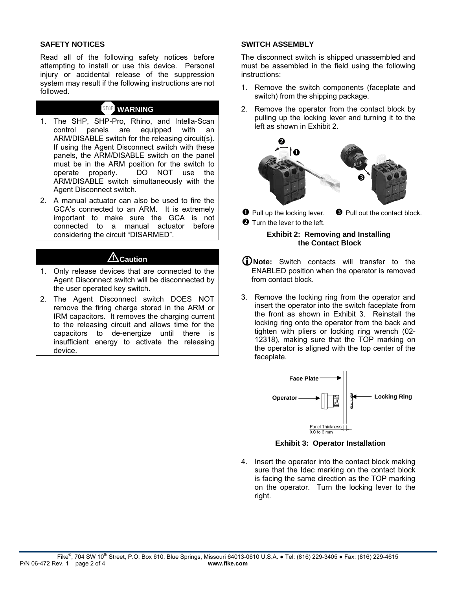## **SAFETY NOTICES**

Read all of the following safety notices before attempting to install or use this device. Personal injury or accidental release of the suppression system may result if the following instructions are not followed.

## a **WARNING**

- 1. The SHP, SHP-Pro, Rhino, and Intella-Scan control panels are equipped with an ARM/DISABLE switch for the releasing circuit(s). If using the Agent Disconnect switch with these panels, the ARM/DISABLE switch on the panel must be in the ARM position for the switch to operate properly. DO NOT use the ARM/DISABLE switch simultaneously with the Agent Disconnect switch.
- 2. A manual actuator can also be used to fire the GCA's connected to an ARM. It is extremely important to make sure the GCA is not connected to a manual actuator before considering the circuit "DISARMED".

## ACaution

- 1. Only release devices that are connected to the Agent Disconnect switch will be disconnected by the user operated key switch.
- 2. The Agent Disconnect switch DOES NOT remove the firing charge stored in the ARM or IRM capacitors. It removes the charging current to the releasing circuit and allows time for the capacitors to de-energize until there is insufficient energy to activate the releasing device.

## **SWITCH ASSEMBLY**

The disconnect switch is shipped unassembled and must be assembled in the field using the following instructions:

- 1. Remove the switch components (faceplate and switch) from the shipping package.
- 2. Remove the operator from the contact block by pulling up the locking lever and turning it to the left as shown in Exhibit 2.



 $\bullet$  Pull up the locking lever. **O** Turn the lever to the left.  $\Theta$  Pull out the contact block.

## **Exhibit 2: Removing and Installing the Contact Block**

- L**Note:** Switch contacts will transfer to the ENABLED position when the operator is removed from contact block.
- 3. Remove the locking ring from the operator and insert the operator into the switch faceplate from the front as shown in Exhibit 3. Reinstall the locking ring onto the operator from the back and tighten with pliers or locking ring wrench (02- 12318), making sure that the TOP marking on the operator is aligned with the top center of the faceplate.



**Exhibit 3: Operator Installation** 

4. Insert the operator into the contact block making sure that the Idec marking on the contact block is facing the same direction as the TOP marking on the operator. Turn the locking lever to the right.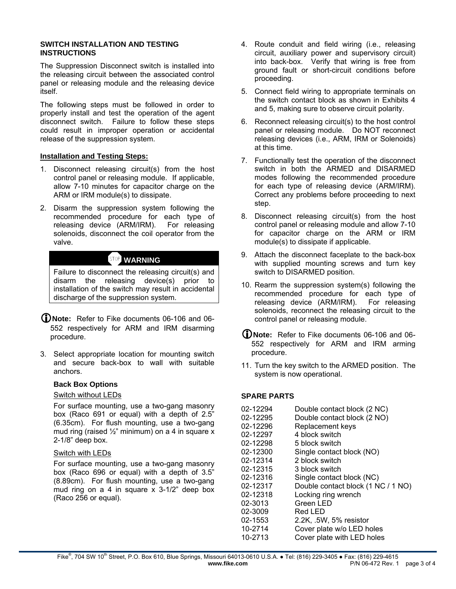## **SWITCH INSTALLATION AND TESTING INSTRUCTIONS**

The Suppression Disconnect switch is installed into the releasing circuit between the associated control panel or releasing module and the releasing device itself.

The following steps must be followed in order to properly install and test the operation of the agent disconnect switch. Failure to follow these steps could result in improper operation or accidental release of the suppression system.

## **Installation and Testing Steps:**

- 1. Disconnect releasing circuit(s) from the host control panel or releasing module. If applicable, allow 7-10 minutes for capacitor charge on the ARM or IRM module(s) to dissipate.
- 2. Disarm the suppression system following the recommended procedure for each type of releasing device (ARM/IRM). For releasing solenoids, disconnect the coil operator from the valve.

## **WARNING**

Failure to disconnect the releasing circuit(s) and disarm the releasing device(s) prior to installation of the switch may result in accidental discharge of the suppression system.

- L**Note:** Refer to Fike documents 06-106 and 06- 552 respectively for ARM and IRM disarming procedure.
- 3. Select appropriate location for mounting switch and secure back-box to wall with suitable anchors.

## **Back Box Options**

## Switch without LEDs

For surface mounting, use a two-gang masonry box (Raco 691 or equal) with a depth of 2.5" (6.35cm). For flush mounting, use a two-gang mud ring (raised  $\frac{1}{2}$ " minimum) on a 4 in square x 2-1/8" deep box.

## Switch with LEDs

For surface mounting, use a two-gang masonry box (Raco 696 or equal) with a depth of 3.5" (8.89cm). For flush mounting, use a two-gang mud ring on a 4 in square x 3-1/2" deep box (Raco 256 or equal).

- 4. Route conduit and field wiring (i.e., releasing circuit, auxiliary power and supervisory circuit) into back-box. Verify that wiring is free from ground fault or short-circuit conditions before proceeding.
- 5. Connect field wiring to appropriate terminals on the switch contact block as shown in Exhibits 4 and 5, making sure to observe circuit polarity.
- 6. Reconnect releasing circuit(s) to the host control panel or releasing module. Do NOT reconnect releasing devices (i.e., ARM, IRM or Solenoids) at this time.
- 7. Functionally test the operation of the disconnect switch in both the ARMED and DISARMED modes following the recommended procedure for each type of releasing device (ARM/IRM). Correct any problems before proceeding to next step.
- 8. Disconnect releasing circuit(s) from the host control panel or releasing module and allow 7-10 for capacitor charge on the ARM or IRM module(s) to dissipate if applicable.
- 9. Attach the disconnect faceplate to the back-box with supplied mounting screws and turn key switch to DISARMED position.
- 10. Rearm the suppression system(s) following the recommended procedure for each type of releasing device (ARM/IRM). For releasing solenoids, reconnect the releasing circuit to the control panel or releasing module.
- L**Note:** Refer to Fike documents 06-106 and 06- 552 respectively for ARM and IRM arming procedure.
- 11. Turn the key switch to the ARMED position. The system is now operational.

## **SPARE PARTS**

| 02-12294 | Double contact block (2 NC)        |
|----------|------------------------------------|
| 02-12295 | Double contact block (2 NO)        |
| 02-12296 | Replacement keys                   |
| 02-12297 | 4 block switch                     |
| 02-12298 | 5 block switch                     |
| 02-12300 | Single contact block (NO)          |
| 02-12314 | 2 block switch                     |
| 02-12315 | 3 block switch                     |
| 02-12316 | Single contact block (NC)          |
| 02-12317 | Double contact block (1 NC / 1 NO) |
| 02-12318 | Locking ring wrench                |
| 02-3013  | Green LED                          |
| 02-3009  | Red LED                            |
| 02-1553  | 2.2K, .5W, 5% resistor             |
| 10-2714  | Cover plate w/o LED holes          |
| 10-2713  | Cover plate with LED holes         |
|          |                                    |